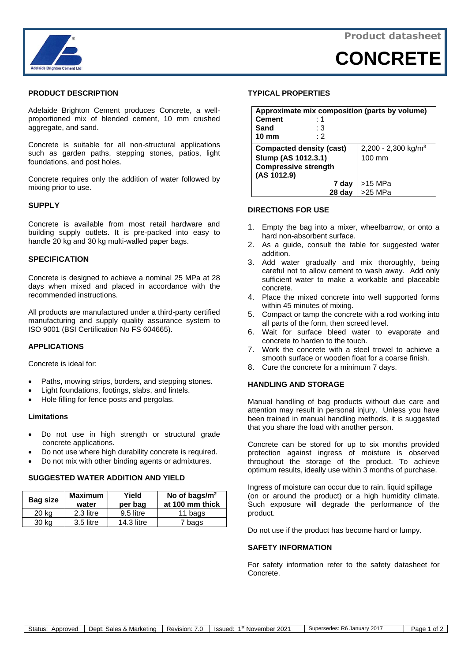

**CONCRETE**



## **PRODUCT DESCRIPTION**

Adelaide Brighton Cement produces Concrete, a wellproportioned mix of blended cement, 10 mm crushed aggregate, and sand.

Concrete is suitable for all non-structural applications such as garden paths, stepping stones, patios, light foundations, and post holes.

Concrete requires only the addition of water followed by mixing prior to use.

## **SUPPLY**

Concrete is available from most retail hardware and building supply outlets. It is pre-packed into easy to handle 20 kg and 30 kg multi-walled paper bags.

## **SPECIFICATION**

Concrete is designed to achieve a nominal 25 MPa at 28 days when mixed and placed in accordance with the recommended instructions.

All products are manufactured under a third-party certified manufacturing and supply quality assurance system to ISO 9001 (BSI Certification No FS 604665).

#### **APPLICATIONS**

Concrete is ideal for:

- Paths, mowing strips, borders, and stepping stones.
- Light foundations, footings, slabs, and lintels.
- Hole filling for fence posts and pergolas.

### **Limitations**

- Do not use in high strength or structural grade concrete applications.
- Do not use where high durability concrete is required.
- Do not mix with other binding agents or admixtures.

## **SUGGESTED WATER ADDITION AND YIELD**

| Bag size | <b>Maximum</b><br>water | Yield<br>per bag  | No of bags/ $m2$<br>at 100 mm thick |
|----------|-------------------------|-------------------|-------------------------------------|
| 20 kg    | 2.3 litre               | 9.5 litre         | 11 bags                             |
| 30 kg    | 3.5 litre               | <b>14.3 litre</b> | 7 bags                              |

#### **TYPICAL PROPERTIES**

| Approximate mix composition (parts by volume) |                                 |  |  |
|-----------------------------------------------|---------------------------------|--|--|
| <b>Cement</b><br>:1                           |                                 |  |  |
| Sand<br>: 3                                   |                                 |  |  |
| $10 \text{ mm}$<br>: 2                        |                                 |  |  |
| <b>Compacted density (cast)</b>               | 2,200 - 2,300 kg/m <sup>3</sup> |  |  |
| Slump (AS 1012.3.1)                           | $100 \text{ mm}$                |  |  |
| <b>Compressive strength</b>                   |                                 |  |  |
| (AS 1012.9)                                   |                                 |  |  |
| 7 day                                         | $>15$ MPa                       |  |  |
| 28 day                                        | $>25$ MPa                       |  |  |

#### **DIRECTIONS FOR USE**

- 1. Empty the bag into a mixer, wheelbarrow, or onto a hard non-absorbent surface.
- 2. As a guide, consult the table for suggested water addition.
- 3. Add water gradually and mix thoroughly, being careful not to allow cement to wash away. Add only sufficient water to make a workable and placeable concrete.
- 4. Place the mixed concrete into well supported forms within 45 minutes of mixing.
- 5. Compact or tamp the concrete with a rod working into all parts of the form, then screed level.
- 6. Wait for surface bleed water to evaporate and concrete to harden to the touch.
- 7. Work the concrete with a steel trowel to achieve a smooth surface or wooden float for a coarse finish.
- 8. Cure the concrete for a minimum 7 days.

# **HANDLING AND STORAGE**

Manual handling of bag products without due care and attention may result in personal injury. Unless you have been trained in manual handling methods, it is suggested that you share the load with another person.

Concrete can be stored for up to six months provided protection against ingress of moisture is observed throughout the storage of the product. To achieve optimum results, ideally use within 3 months of purchase.

Ingress of moisture can occur due to rain, liquid spillage (on or around the product) or a high humidity climate. Such exposure will degrade the performance of the product.

Do not use if the product has become hard or lumpy.

# **SAFETY INFORMATION**

For safety information refer to the safety datasheet for Concrete.